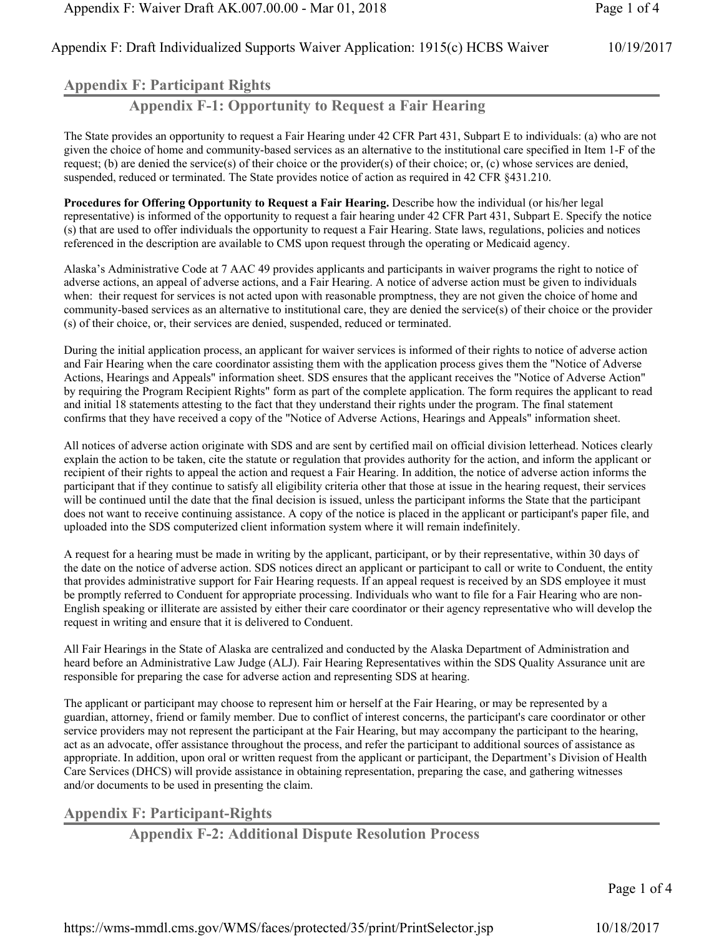## **Appendix F: Participant Rights**

**Appendix F-1: Opportunity to Request a Fair Hearing**

The State provides an opportunity to request a Fair Hearing under 42 CFR Part 431, Subpart E to individuals: (a) who are not given the choice of home and community-based services as an alternative to the institutional care specified in Item 1-F of the request; (b) are denied the service(s) of their choice or the provider(s) of their choice; or, (c) whose services are denied, suspended, reduced or terminated. The State provides notice of action as required in 42 CFR §431.210.

**Procedures for Offering Opportunity to Request a Fair Hearing.** Describe how the individual (or his/her legal representative) is informed of the opportunity to request a fair hearing under 42 CFR Part 431, Subpart E. Specify the notice (s) that are used to offer individuals the opportunity to request a Fair Hearing. State laws, regulations, policies and notices referenced in the description are available to CMS upon request through the operating or Medicaid agency.

Alaska's Administrative Code at 7 AAC 49 provides applicants and participants in waiver programs the right to notice of adverse actions, an appeal of adverse actions, and a Fair Hearing. A notice of adverse action must be given to individuals when: their request for services is not acted upon with reasonable promptness, they are not given the choice of home and community-based services as an alternative to institutional care, they are denied the service(s) of their choice or the provider (s) of their choice, or, their services are denied, suspended, reduced or terminated.

During the initial application process, an applicant for waiver services is informed of their rights to notice of adverse action and Fair Hearing when the care coordinator assisting them with the application process gives them the "Notice of Adverse Actions, Hearings and Appeals" information sheet. SDS ensures that the applicant receives the "Notice of Adverse Action" by requiring the Program Recipient Rights" form as part of the complete application. The form requires the applicant to read and initial 18 statements attesting to the fact that they understand their rights under the program. The final statement confirms that they have received a copy of the "Notice of Adverse Actions, Hearings and Appeals" information sheet.

All notices of adverse action originate with SDS and are sent by certified mail on official division letterhead. Notices clearly explain the action to be taken, cite the statute or regulation that provides authority for the action, and inform the applicant or recipient of their rights to appeal the action and request a Fair Hearing. In addition, the notice of adverse action informs the participant that if they continue to satisfy all eligibility criteria other that those at issue in the hearing request, their services will be continued until the date that the final decision is issued, unless the participant informs the State that the participant does not want to receive continuing assistance. A copy of the notice is placed in the applicant or participant's paper file, and uploaded into the SDS computerized client information system where it will remain indefinitely.

A request for a hearing must be made in writing by the applicant, participant, or by their representative, within 30 days of the date on the notice of adverse action. SDS notices direct an applicant or participant to call or write to Conduent, the entity that provides administrative support for Fair Hearing requests. If an appeal request is received by an SDS employee it must be promptly referred to Conduent for appropriate processing. Individuals who want to file for a Fair Hearing who are non-English speaking or illiterate are assisted by either their care coordinator or their agency representative who will develop the request in writing and ensure that it is delivered to Conduent.

All Fair Hearings in the State of Alaska are centralized and conducted by the Alaska Department of Administration and heard before an Administrative Law Judge (ALJ). Fair Hearing Representatives within the SDS Quality Assurance unit are responsible for preparing the case for adverse action and representing SDS at hearing.

The applicant or participant may choose to represent him or herself at the Fair Hearing, or may be represented by a guardian, attorney, friend or family member. Due to conflict of interest concerns, the participant's care coordinator or other service providers may not represent the participant at the Fair Hearing, but may accompany the participant to the hearing, act as an advocate, offer assistance throughout the process, and refer the participant to additional sources of assistance as appropriate. In addition, upon oral or written request from the applicant or participant, the Department's Division of Health Care Services (DHCS) will provide assistance in obtaining representation, preparing the case, and gathering witnesses and/or documents to be used in presenting the claim.

# **Appendix F: Participant-Rights**

**Appendix F-2: Additional Dispute Resolution Process**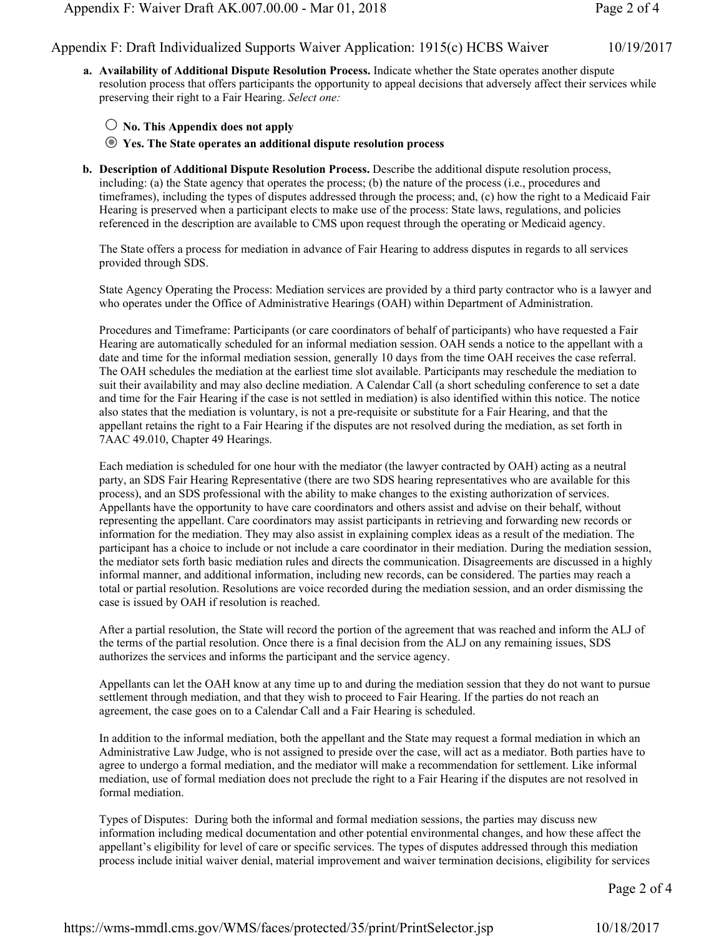**a. Availability of Additional Dispute Resolution Process.** Indicate whether the State operates another dispute resolution process that offers participants the opportunity to appeal decisions that adversely affect their services while preserving their right to a Fair Hearing. *Select one:*

#### $\bigcirc$  No. This Appendix does not apply

 **Yes. The State operates an additional dispute resolution process**

**b. Description of Additional Dispute Resolution Process.** Describe the additional dispute resolution process, including: (a) the State agency that operates the process; (b) the nature of the process (i.e., procedures and timeframes), including the types of disputes addressed through the process; and, (c) how the right to a Medicaid Fair Hearing is preserved when a participant elects to make use of the process: State laws, regulations, and policies referenced in the description are available to CMS upon request through the operating or Medicaid agency.

The State offers a process for mediation in advance of Fair Hearing to address disputes in regards to all services provided through SDS.

State Agency Operating the Process: Mediation services are provided by a third party contractor who is a lawyer and who operates under the Office of Administrative Hearings (OAH) within Department of Administration.

Procedures and Timeframe: Participants (or care coordinators of behalf of participants) who have requested a Fair Hearing are automatically scheduled for an informal mediation session. OAH sends a notice to the appellant with a date and time for the informal mediation session, generally 10 days from the time OAH receives the case referral. The OAH schedules the mediation at the earliest time slot available. Participants may reschedule the mediation to suit their availability and may also decline mediation. A Calendar Call (a short scheduling conference to set a date and time for the Fair Hearing if the case is not settled in mediation) is also identified within this notice. The notice also states that the mediation is voluntary, is not a pre-requisite or substitute for a Fair Hearing, and that the appellant retains the right to a Fair Hearing if the disputes are not resolved during the mediation, as set forth in 7AAC 49.010, Chapter 49 Hearings.

Each mediation is scheduled for one hour with the mediator (the lawyer contracted by OAH) acting as a neutral party, an SDS Fair Hearing Representative (there are two SDS hearing representatives who are available for this process), and an SDS professional with the ability to make changes to the existing authorization of services. Appellants have the opportunity to have care coordinators and others assist and advise on their behalf, without representing the appellant. Care coordinators may assist participants in retrieving and forwarding new records or information for the mediation. They may also assist in explaining complex ideas as a result of the mediation. The participant has a choice to include or not include a care coordinator in their mediation. During the mediation session, the mediator sets forth basic mediation rules and directs the communication. Disagreements are discussed in a highly informal manner, and additional information, including new records, can be considered. The parties may reach a total or partial resolution. Resolutions are voice recorded during the mediation session, and an order dismissing the case is issued by OAH if resolution is reached.

After a partial resolution, the State will record the portion of the agreement that was reached and inform the ALJ of the terms of the partial resolution. Once there is a final decision from the ALJ on any remaining issues, SDS authorizes the services and informs the participant and the service agency.

Appellants can let the OAH know at any time up to and during the mediation session that they do not want to pursue settlement through mediation, and that they wish to proceed to Fair Hearing. If the parties do not reach an agreement, the case goes on to a Calendar Call and a Fair Hearing is scheduled.

In addition to the informal mediation, both the appellant and the State may request a formal mediation in which an Administrative Law Judge, who is not assigned to preside over the case, will act as a mediator. Both parties have to agree to undergo a formal mediation, and the mediator will make a recommendation for settlement. Like informal mediation, use of formal mediation does not preclude the right to a Fair Hearing if the disputes are not resolved in formal mediation.

Types of Disputes: During both the informal and formal mediation sessions, the parties may discuss new information including medical documentation and other potential environmental changes, and how these affect the appellant's eligibility for level of care or specific services. The types of disputes addressed through this mediation process include initial waiver denial, material improvement and waiver termination decisions, eligibility for services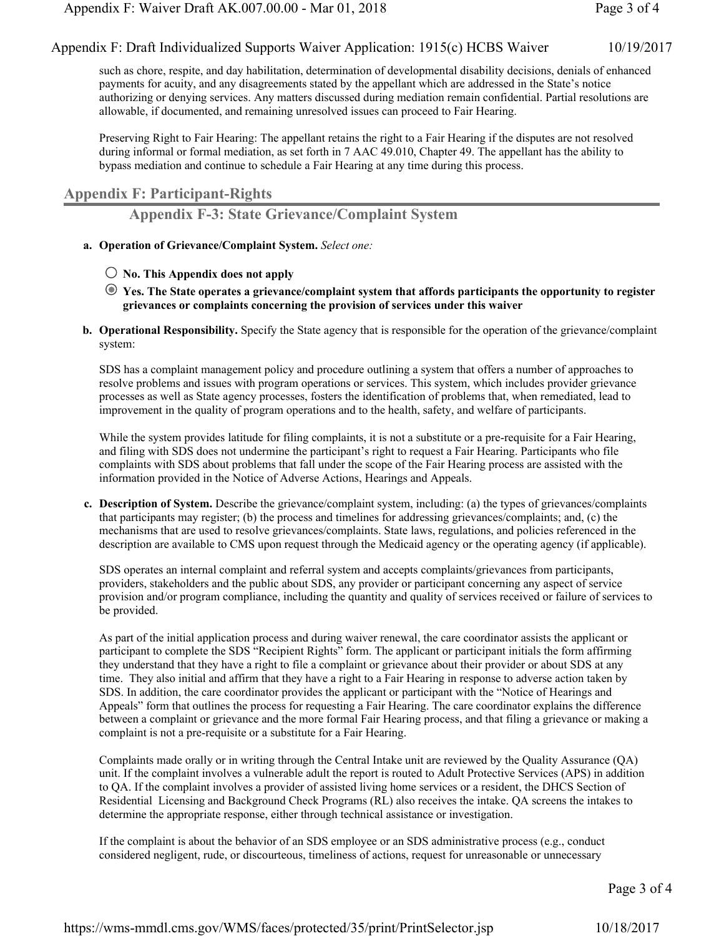such as chore, respite, and day habilitation, determination of developmental disability decisions, denials of enhanced payments for acuity, and any disagreements stated by the appellant which are addressed in the State's notice authorizing or denying services. Any matters discussed during mediation remain confidential. Partial resolutions are allowable, if documented, and remaining unresolved issues can proceed to Fair Hearing.

Preserving Right to Fair Hearing: The appellant retains the right to a Fair Hearing if the disputes are not resolved during informal or formal mediation, as set forth in 7 AAC 49.010. Chapter 49. The appellant has the ability to bypass mediation and continue to schedule a Fair Hearing at any time during this process.

### **Appendix F: Participant-Rights**

**Appendix F-3: State Grievance/Complaint System**

- **a. Operation of Grievance/Complaint System.** *Select one:*
	- $\bigcirc$  No. This Appendix does not apply
	- **Yes. The State operates a grievance/complaint system that affords participants the opportunity to register grievances or complaints concerning the provision of services under this waiver**
- **b. Operational Responsibility.** Specify the State agency that is responsible for the operation of the grievance/complaint system:

SDS has a complaint management policy and procedure outlining a system that offers a number of approaches to resolve problems and issues with program operations or services. This system, which includes provider grievance processes as well as State agency processes, fosters the identification of problems that, when remediated, lead to improvement in the quality of program operations and to the health, safety, and welfare of participants.

While the system provides latitude for filing complaints, it is not a substitute or a pre-requisite for a Fair Hearing, and filing with SDS does not undermine the participant's right to request a Fair Hearing. Participants who file complaints with SDS about problems that fall under the scope of the Fair Hearing process are assisted with the information provided in the Notice of Adverse Actions, Hearings and Appeals.

**c. Description of System.** Describe the grievance/complaint system, including: (a) the types of grievances/complaints that participants may register; (b) the process and timelines for addressing grievances/complaints; and, (c) the mechanisms that are used to resolve grievances/complaints. State laws, regulations, and policies referenced in the description are available to CMS upon request through the Medicaid agency or the operating agency (if applicable).

SDS operates an internal complaint and referral system and accepts complaints/grievances from participants, providers, stakeholders and the public about SDS, any provider or participant concerning any aspect of service provision and/or program compliance, including the quantity and quality of services received or failure of services to be provided.

As part of the initial application process and during waiver renewal, the care coordinator assists the applicant or participant to complete the SDS "Recipient Rights" form. The applicant or participant initials the form affirming they understand that they have a right to file a complaint or grievance about their provider or about SDS at any time. They also initial and affirm that they have a right to a Fair Hearing in response to adverse action taken by SDS. In addition, the care coordinator provides the applicant or participant with the "Notice of Hearings and Appeals" form that outlines the process for requesting a Fair Hearing. The care coordinator explains the difference between a complaint or grievance and the more formal Fair Hearing process, and that filing a grievance or making a complaint is not a pre-requisite or a substitute for a Fair Hearing.

Complaints made orally or in writing through the Central Intake unit are reviewed by the Quality Assurance (QA) unit. If the complaint involves a vulnerable adult the report is routed to Adult Protective Services (APS) in addition to QA. If the complaint involves a provider of assisted living home services or a resident, the DHCS Section of Residential Licensing and Background Check Programs (RL) also receives the intake. QA screens the intakes to determine the appropriate response, either through technical assistance or investigation.

If the complaint is about the behavior of an SDS employee or an SDS administrative process (e.g., conduct considered negligent, rude, or discourteous, timeliness of actions, request for unreasonable or unnecessary